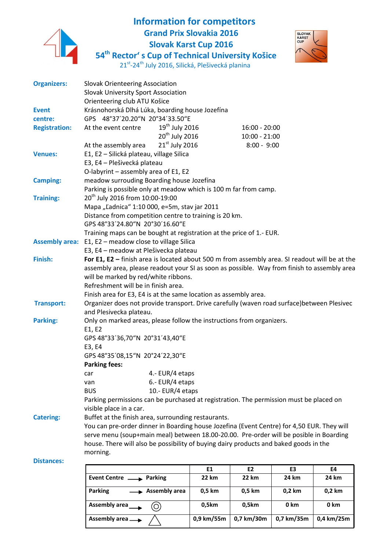

## **Information for competitors Grand Prix Slovakia 2016 Slovak Karst Cup 2016**



**54th Rector' s Cup of Technical University Košice**

| 21st-24 <sup>th</sup> July 2016, Silická, Plešivecká planina |  |  |  |  |
|--------------------------------------------------------------|--|--|--|--|
|--------------------------------------------------------------|--|--|--|--|

|                       |                                                                                                                                     |                                    | E1 | E <sub>2</sub>  | E3 | E4 |
|-----------------------|-------------------------------------------------------------------------------------------------------------------------------------|------------------------------------|----|-----------------|----|----|
|                       |                                                                                                                                     |                                    |    |                 |    |    |
| <b>Distances:</b>     | morning.                                                                                                                            |                                    |    |                 |    |    |
|                       | house. There will also be possibility of buying dairy products and baked goods in the                                               |                                    |    |                 |    |    |
|                       | serve menu (soup+main meal) between 18.00-20.00. Pre-order will be posible in Boarding                                              |                                    |    |                 |    |    |
|                       | You can pre-order dinner in Boarding house Jozefina (Event Centre) for 4,50 EUR. They will                                          |                                    |    |                 |    |    |
| <b>Catering:</b>      | Buffet at the finish area, surrounding restaurants.                                                                                 |                                    |    |                 |    |    |
|                       | visible place in a car.                                                                                                             |                                    |    |                 |    |    |
|                       | Parking permissions can be purchased at registration. The permission must be placed on                                              |                                    |    |                 |    |    |
|                       | <b>BUS</b><br>10.- EUR/4 etaps                                                                                                      |                                    |    |                 |    |    |
|                       | car<br>van                                                                                                                          | 4.- EUR/4 etaps<br>6.- EUR/4 etaps |    |                 |    |    |
|                       | <b>Parking fees:</b>                                                                                                                |                                    |    |                 |    |    |
|                       | GPS 48°35'08,15"N 20°24'22,30"E                                                                                                     |                                    |    |                 |    |    |
|                       | E3, E4                                                                                                                              |                                    |    |                 |    |    |
|                       | GPS 48°33'36,70"N 20°31'43,40"E                                                                                                     |                                    |    |                 |    |    |
|                       | E1, E2                                                                                                                              |                                    |    |                 |    |    |
| <b>Parking:</b>       | Only on marked areas, please follow the instructions from organizers.                                                               |                                    |    |                 |    |    |
|                       | and Plesivecka plateau.                                                                                                             |                                    |    |                 |    |    |
| <b>Transport:</b>     | Organizer does not provide transport. Drive carefully (waven road surface)between Plesivec                                          |                                    |    |                 |    |    |
|                       | Finish area for E3, E4 is at the same location as assembly area.                                                                    |                                    |    |                 |    |    |
|                       | Refreshment will be in finish area.                                                                                                 |                                    |    |                 |    |    |
|                       | assembly area, please readout your SI as soon as possible. Way from finish to assembly area<br>will be marked by red/white ribbons. |                                    |    |                 |    |    |
|                       |                                                                                                                                     |                                    |    |                 |    |    |
| Finish:               | For E1, E2 - finish area is located about 500 m from assembly area. SI readout will be at the                                       |                                    |    |                 |    |    |
| <b>Assembly area:</b> | E1, E2 - meadow close to village Silica<br>E3, E4 - meadow at Plešivecka plateau                                                    |                                    |    |                 |    |    |
|                       | Training maps can be bought at registration at the price of 1.- EUR.                                                                |                                    |    |                 |    |    |
|                       | GPS 48°33'24.80"N 20°30'16.60"E                                                                                                     |                                    |    |                 |    |    |
|                       | Distance from competition centre to training is 20 km.                                                                              |                                    |    |                 |    |    |
|                       | Mapa "Ľadnica" 1:10 000, e=5m, stav jar 2011                                                                                        |                                    |    |                 |    |    |
| <b>Training:</b>      | 20 <sup>th</sup> July 2016 from 10:00-19:00                                                                                         |                                    |    |                 |    |    |
|                       | Parking is possible only at meadow which is 100 m far from camp.                                                                    |                                    |    |                 |    |    |
| <b>Camping:</b>       | meadow surrouding Boarding house Jozefína                                                                                           |                                    |    |                 |    |    |
|                       | O-labyrint - assembly area of E1, E2                                                                                                |                                    |    |                 |    |    |
|                       | E3, E4 - Plešivecká plateau                                                                                                         |                                    |    |                 |    |    |
| <b>Venues:</b>        | E1, E2 - Silická plateau, village Silica                                                                                            |                                    |    |                 |    |    |
|                       | At the assembly area                                                                                                                | $21st$ July 2016                   |    | $8:00 - 9:00$   |    |    |
|                       |                                                                                                                                     | 20 <sup>th</sup> July 2016         |    | $10:00 - 21:00$ |    |    |
| <b>Registration:</b>  | At the event centre                                                                                                                 | $19th$ July 2016                   |    | $16:00 - 20:00$ |    |    |
| centre:               | GPS 48°37'20.20"N 20°34'33.50"E                                                                                                     |                                    |    |                 |    |    |
| <b>Event</b>          | Krásnohorská Dlhá Lúka, boarding house Jozefína                                                                                     |                                    |    |                 |    |    |
|                       | Orienteering club ATU Košice                                                                                                        |                                    |    |                 |    |    |
|                       | <b>Slovak Orienteering Association</b><br>Slovak University Sport Association                                                       |                                    |    |                 |    |    |
| <b>Organizers:</b>    |                                                                                                                                     |                                    |    |                 |    |    |

|                                        | E.L        | CZ.        | ЕЭ         | C4         |
|----------------------------------------|------------|------------|------------|------------|
| Event Centre <b>Southern Event</b>     | 22 km      | 22 km      | 24 km      | 24 km      |
| Parking<br>$\rightarrow$ Assembly area | 0,5 km     | 0,5 km     | $0,2$ km   | 0,2 km     |
| Assembly area__                        | 0,5km      | 0,5km      | 0 km       | 0 km       |
| Assembly area -                        | 0,9 km/55m | 0,7 km/30m | 0,7 km/35m | 0,4 km/25m |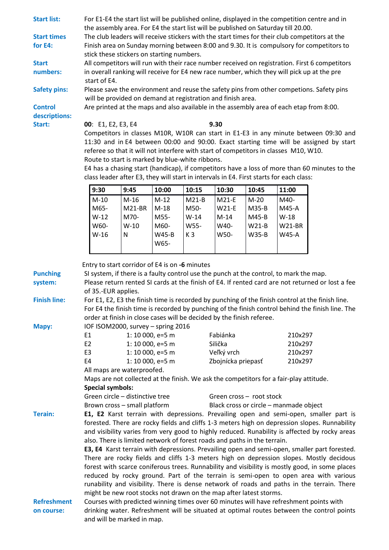| <b>Start list:</b>            | For E1-E4 the start list will be published online, displayed in the competition centre and in                                                                                                  |                                                                                                                                                                                           |                  |                |                    |         |               |                                                                                                                                                                                                      |
|-------------------------------|------------------------------------------------------------------------------------------------------------------------------------------------------------------------------------------------|-------------------------------------------------------------------------------------------------------------------------------------------------------------------------------------------|------------------|----------------|--------------------|---------|---------------|------------------------------------------------------------------------------------------------------------------------------------------------------------------------------------------------------|
|                               | the assembly area. For E4 the start list will be published on Saturday till 20.00.                                                                                                             |                                                                                                                                                                                           |                  |                |                    |         |               |                                                                                                                                                                                                      |
| <b>Start times</b><br>for E4: | The club leaders will receive stickers with the start times for their club competitors at the<br>Finish area on Sunday morning between 8:00 and 9.30. It is compulsory for competitors to      |                                                                                                                                                                                           |                  |                |                    |         |               |                                                                                                                                                                                                      |
|                               | stick these stickers on starting numbers.                                                                                                                                                      |                                                                                                                                                                                           |                  |                |                    |         |               |                                                                                                                                                                                                      |
| <b>Start</b>                  |                                                                                                                                                                                                |                                                                                                                                                                                           |                  |                |                    |         |               | All competitors will run with their race number received on registration. First 6 competitors                                                                                                        |
| numbers:                      |                                                                                                                                                                                                | in overall ranking will receive for E4 new race number, which they will pick up at the pre                                                                                                |                  |                |                    |         |               |                                                                                                                                                                                                      |
|                               | start of E4.                                                                                                                                                                                   |                                                                                                                                                                                           |                  |                |                    |         |               |                                                                                                                                                                                                      |
| <b>Safety pins:</b>           |                                                                                                                                                                                                | will be provided on demand at registration and finish area.                                                                                                                               |                  |                |                    |         |               | Please save the environment and reuse the safety pins from other competions. Safety pins                                                                                                             |
| <b>Control</b>                |                                                                                                                                                                                                | Are printed at the maps and also available in the assembly area of each etap from 8:00.                                                                                                   |                  |                |                    |         |               |                                                                                                                                                                                                      |
| descriptions:                 |                                                                                                                                                                                                |                                                                                                                                                                                           |                  |                |                    |         |               |                                                                                                                                                                                                      |
| Start:                        | 00: E1, E2, E3, E4                                                                                                                                                                             |                                                                                                                                                                                           |                  |                | 9.30               |         |               |                                                                                                                                                                                                      |
|                               |                                                                                                                                                                                                |                                                                                                                                                                                           |                  |                |                    |         |               | Competitors in classes M10R, W10R can start in E1-E3 in any minute between 09:30 and                                                                                                                 |
|                               |                                                                                                                                                                                                | referee so that it will not interfere with start of competitors in classes M10, W10.                                                                                                      |                  |                |                    |         |               | 11:30 and in E4 between 00:00 and 90:00. Exact starting time will be assigned by start                                                                                                               |
|                               |                                                                                                                                                                                                | Route to start is marked by blue-white ribbons.                                                                                                                                           |                  |                |                    |         |               |                                                                                                                                                                                                      |
|                               |                                                                                                                                                                                                |                                                                                                                                                                                           |                  |                |                    |         |               | E4 has a chasing start (handicap), if competitors have a loss of more than 60 minutes to the                                                                                                         |
|                               |                                                                                                                                                                                                | class leader after E3, they will start in intervals in E4. First starts for each class:                                                                                                   |                  |                |                    |         |               |                                                                                                                                                                                                      |
|                               | 9:30                                                                                                                                                                                           | 9:45                                                                                                                                                                                      | 10:00            | 10:15          | 10:30              | 10:45   | 11:00         |                                                                                                                                                                                                      |
|                               | $M-10$                                                                                                                                                                                         | $M-16$                                                                                                                                                                                    | $M-12$           | $M21-B$        | M21-E              | $M-20$  | M40-          |                                                                                                                                                                                                      |
|                               | M65-                                                                                                                                                                                           | <b>M21-BR</b>                                                                                                                                                                             | $M-18$           | M50-           | <b>W21-E</b>       | M35-B   | M45-A         |                                                                                                                                                                                                      |
|                               | $W-12$                                                                                                                                                                                         | M70-                                                                                                                                                                                      | M55-             | $W-14$         | $M-14$             | M45-B   | $W-18$        |                                                                                                                                                                                                      |
|                               | W60-                                                                                                                                                                                           | $W-10$                                                                                                                                                                                    | M60-             | W55-           | W40-               | $W21-B$ | <b>W21-BR</b> |                                                                                                                                                                                                      |
|                               | $W-16$                                                                                                                                                                                         | ${\sf N}$                                                                                                                                                                                 | <b>W45-B</b>     | K <sub>3</sub> | W50-               | W35-B   | <b>W45-A</b>  |                                                                                                                                                                                                      |
|                               |                                                                                                                                                                                                |                                                                                                                                                                                           | W65-             |                |                    |         |               |                                                                                                                                                                                                      |
|                               |                                                                                                                                                                                                |                                                                                                                                                                                           |                  |                |                    |         |               |                                                                                                                                                                                                      |
|                               |                                                                                                                                                                                                | Entry to start corridor of E4 is on -6 minutes                                                                                                                                            |                  |                |                    |         |               |                                                                                                                                                                                                      |
| <b>Punching</b>               |                                                                                                                                                                                                | SI system, if there is a faulty control use the punch at the control, to mark the map.                                                                                                    |                  |                |                    |         |               |                                                                                                                                                                                                      |
| system:                       |                                                                                                                                                                                                |                                                                                                                                                                                           |                  |                |                    |         |               | Please return rented SI cards at the finish of E4. If rented card are not returned or lost a fee                                                                                                     |
|                               | of 35.-EUR applies.                                                                                                                                                                            |                                                                                                                                                                                           |                  |                |                    |         |               |                                                                                                                                                                                                      |
| <b>Finish line:</b>           |                                                                                                                                                                                                |                                                                                                                                                                                           |                  |                |                    |         |               | For E1, E2, E3 the finish time is recorded by punching of the finish control at the finish line.<br>For E4 the finish time is recorded by punching of the finish control behind the finish line. The |
|                               |                                                                                                                                                                                                | order at finish in close cases will be decided by the finish referee.                                                                                                                     |                  |                |                    |         |               |                                                                                                                                                                                                      |
| Mapy:                         |                                                                                                                                                                                                | IOF ISOM2000, survey - spring 2016                                                                                                                                                        |                  |                |                    |         |               |                                                                                                                                                                                                      |
|                               | E <sub>1</sub>                                                                                                                                                                                 |                                                                                                                                                                                           | 1: 10 000, e=5 m |                | Fabiánka           |         | 210x297       |                                                                                                                                                                                                      |
|                               | E <sub>2</sub>                                                                                                                                                                                 |                                                                                                                                                                                           | 1: 10 000, e=5 m |                | Silička            |         | 210x297       |                                                                                                                                                                                                      |
|                               | E <sub>3</sub>                                                                                                                                                                                 |                                                                                                                                                                                           | 1: 10 000, e=5 m |                | Veľký vrch         |         | 210x297       |                                                                                                                                                                                                      |
|                               | E4                                                                                                                                                                                             |                                                                                                                                                                                           | 1: 10 000, e=5 m |                | Zbojnícka priepasť |         | 210x297       |                                                                                                                                                                                                      |
|                               |                                                                                                                                                                                                | All maps are waterproofed.                                                                                                                                                                |                  |                |                    |         |               |                                                                                                                                                                                                      |
|                               |                                                                                                                                                                                                | Maps are not collected at the finish. We ask the competitors for a fair-play attitude.                                                                                                    |                  |                |                    |         |               |                                                                                                                                                                                                      |
|                               | <b>Special symbols:</b><br>Green circle - distinctive tree<br>Green cross - root stock                                                                                                         |                                                                                                                                                                                           |                  |                |                    |         |               |                                                                                                                                                                                                      |
|                               |                                                                                                                                                                                                |                                                                                                                                                                                           |                  |                |                    |         |               |                                                                                                                                                                                                      |
| <b>Terain:</b>                | Brown cross - small platform<br>Black cross or circle - manmade object<br>E1, E2 Karst terrain with depressions. Prevailing open and semi-open, smaller part is                                |                                                                                                                                                                                           |                  |                |                    |         |               |                                                                                                                                                                                                      |
|                               |                                                                                                                                                                                                |                                                                                                                                                                                           |                  |                |                    |         |               |                                                                                                                                                                                                      |
|                               | forested. There are rocky fields and cliffs 1-3 meters high on depression slopes. Runnability<br>and visibility varies from very good to highly reduced. Runability is affected by rocky areas |                                                                                                                                                                                           |                  |                |                    |         |               |                                                                                                                                                                                                      |
|                               | also. There is limited network of forest roads and paths in the terrain.                                                                                                                       |                                                                                                                                                                                           |                  |                |                    |         |               |                                                                                                                                                                                                      |
|                               |                                                                                                                                                                                                |                                                                                                                                                                                           |                  |                |                    |         |               | E3, E4 Karst terrain with depressions. Prevailing open and semi-open, smaller part forested.                                                                                                         |
|                               |                                                                                                                                                                                                | There are rocky fields and cliffs 1-3 meters high on depression slopes. Mostly decidous<br>forest with scarce coniferous trees. Runnability and visibility is mostly good, in some places |                  |                |                    |         |               |                                                                                                                                                                                                      |
|                               |                                                                                                                                                                                                |                                                                                                                                                                                           |                  |                |                    |         |               |                                                                                                                                                                                                      |
|                               |                                                                                                                                                                                                |                                                                                                                                                                                           |                  |                |                    |         |               | reduced by rocky ground. Part of the terrain is semi-open to open area with various<br>runability and visibility. There is dense network of roads and paths in the terrain. There                    |
|                               |                                                                                                                                                                                                |                                                                                                                                                                                           |                  |                |                    |         |               |                                                                                                                                                                                                      |
| <b>Refreshment</b>            | might be new root stocks not drawn on the map after latest storms.<br>Courses with predicted winning times over 60 minutes will have refreshment points with                                   |                                                                                                                                                                                           |                  |                |                    |         |               |                                                                                                                                                                                                      |
| on course:                    | drinking water. Refreshment will be situated at optimal routes between the control points                                                                                                      |                                                                                                                                                                                           |                  |                |                    |         |               |                                                                                                                                                                                                      |
|                               | and will be marked in map.                                                                                                                                                                     |                                                                                                                                                                                           |                  |                |                    |         |               |                                                                                                                                                                                                      |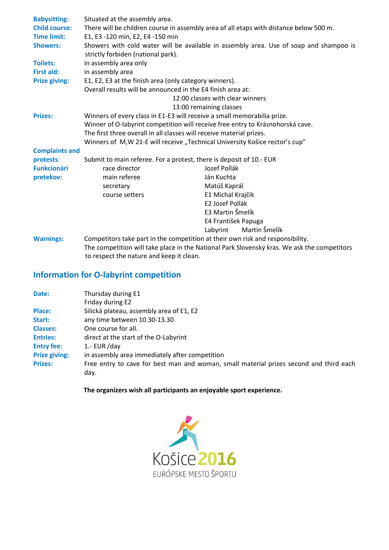| <b>Babysitting:</b>   | Situated at the assembly area.                                                                                               |                           |  |  |  |  |
|-----------------------|------------------------------------------------------------------------------------------------------------------------------|---------------------------|--|--|--|--|
| <b>Child course:</b>  | There will be children course in assembly area of all etaps with distance below 500 m.                                       |                           |  |  |  |  |
| <b>Time limit:</b>    | E1, E3 -120 min, E2, E4 -150 min                                                                                             |                           |  |  |  |  |
| <b>Showers:</b>       |                                                                                                                              |                           |  |  |  |  |
|                       | Showers with cold water will be available in assembly area. Use of soap and shampoo is<br>strictly forbiden (national park). |                           |  |  |  |  |
| <b>Toilets:</b>       | in assembly area only                                                                                                        |                           |  |  |  |  |
| First aid:            | in assembly area                                                                                                             |                           |  |  |  |  |
| <b>Prize giving:</b>  | E1, E2, E3 at the finish area (only category winners).                                                                       |                           |  |  |  |  |
|                       | Overall results will be announced in the E4 finish area at:                                                                  |                           |  |  |  |  |
|                       | 12:00 classes with clear winners                                                                                             |                           |  |  |  |  |
|                       |                                                                                                                              | 13:00 remaining classes   |  |  |  |  |
| <b>Prizes:</b>        | Winners of every class in E1-E3 will receive a small memorabilia prize.                                                      |                           |  |  |  |  |
|                       | Winner of O-labyrint competition will receive free entry to Krásnohorská cave.                                               |                           |  |  |  |  |
|                       | The first three overall in all classes will receive material prizes.                                                         |                           |  |  |  |  |
|                       | Winners of M, W 21-E will receive "Technical University Košice rector's cup"                                                 |                           |  |  |  |  |
| <b>Complaints and</b> |                                                                                                                              |                           |  |  |  |  |
| protests:             | Submit to main referee. For a protest, there is deposit of 10.- EUR                                                          |                           |  |  |  |  |
| <b>Funkcionári</b>    | race director                                                                                                                | Jozef Pollák              |  |  |  |  |
| pretekov:             | main referee                                                                                                                 | Ján Kuchta                |  |  |  |  |
|                       | secretary                                                                                                                    | Matúš Kaprál              |  |  |  |  |
|                       | course setters                                                                                                               | E1 Michal Krajčík         |  |  |  |  |
|                       |                                                                                                                              | E2 Jozef Pollák           |  |  |  |  |
|                       |                                                                                                                              | E3 Martin Šmelík          |  |  |  |  |
|                       |                                                                                                                              | E4 František Papuga       |  |  |  |  |
|                       |                                                                                                                              | Martin Šmelík<br>Labyrint |  |  |  |  |
| <b>Warnings:</b>      | Competitors take part in the competition at their own risk and responsibility.                                               |                           |  |  |  |  |
|                       | The competition will take place in the National Park Slovenský kras. We ask the competitors                                  |                           |  |  |  |  |
|                       | to respect the nature and keep it clean.                                                                                     |                           |  |  |  |  |

## **Information for O-labyrint competition**

| Date:                | Thursday during E1                                                                     |
|----------------------|----------------------------------------------------------------------------------------|
|                      | Friday during E2                                                                       |
| Place:               | Silická plateau, assembly area of E1, E2                                               |
| Start:               | any time between 10.30-13.30                                                           |
| <b>Classes:</b>      | One course for all.                                                                    |
| <b>Entries:</b>      | direct at the start of the O-Labyrint                                                  |
| <b>Entry fee:</b>    | 1.- $EUR$ /day                                                                         |
| <b>Prize giving:</b> | in assembly area immediately after competition                                         |
| <b>Prizes:</b>       | Free entry to cave for best man and woman, small material prizes second and third each |
|                      | day.                                                                                   |

 **The organizers wish all participants an enjoyable sport experience.**